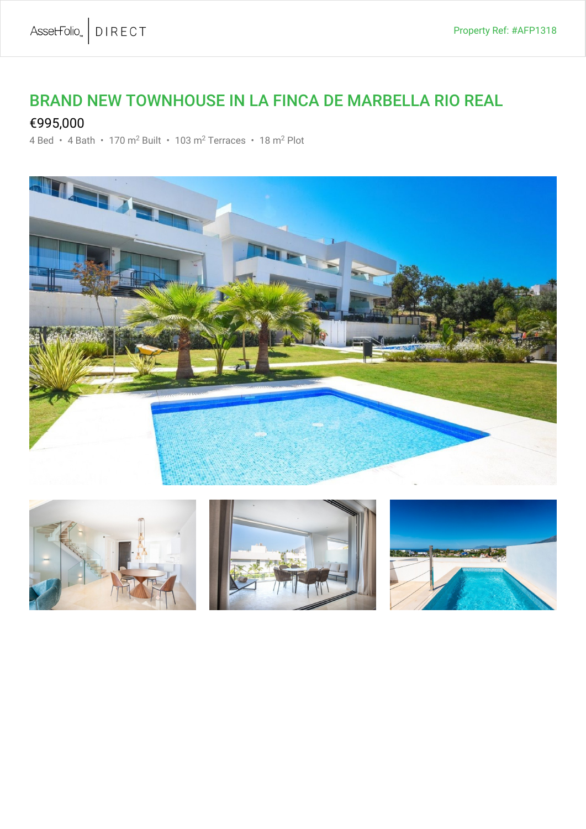## BRAND NEW TOWNHOUSE IN LA FINCA DE MARBELLA RIO REAL

## €995,000

4 Bed • 4 Bath • 170 m<sup>2</sup> Built • 103 m<sup>2</sup> Terraces • 18 m<sup>2</sup> Plot